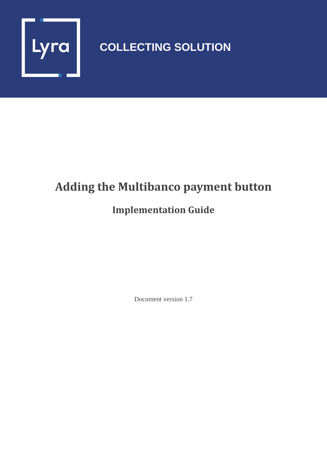

## **COLLECTING SOLUTION**

# **Adding the Multibanco payment button**

## **Implementation Guide**

Document version 1.7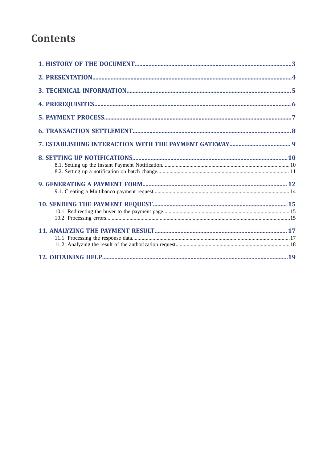## **Contents**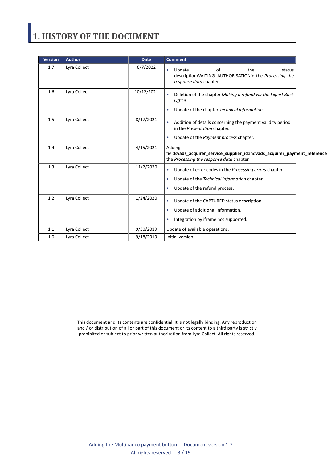# <span id="page-2-0"></span>**1. HISTORY OF THE DOCUMENT**

| <b>Version</b> | <b>Author</b> | <b>Date</b> | <b>Comment</b>                                                                                                                                     |
|----------------|---------------|-------------|----------------------------------------------------------------------------------------------------------------------------------------------------|
| 1.7            | Lyra Collect  | 6/7/2022    | Update<br>of<br>the<br>status<br>$\bullet$<br>descriptionWAITING AUTHORISATIONin the Processing the<br>response data chapter.                      |
| 1.6            | Lyra Collect  | 10/12/2021  | Deletion of the chapter Making a refund via the Expert Back<br><b>Office</b><br>Update of the chapter Technical information.                       |
| 1.5            | Lyra Collect  | 8/17/2021   | Addition of details concerning the payment validity period<br>in the Presentation chapter.<br>Update of the Payment process chapter.               |
| 1.4            | Lyra Collect  | 4/15/2021   | Adding<br>fieldsvads_acquirer_service_supplier_idandvads_acquirer_payment_reference<br>the Processing the response data chapter.                   |
| 1.3            | Lyra Collect  | 11/2/2020   | Update of error codes in the Processing errors chapter.<br>۰<br>Update of the Technical information chapter.<br>۰<br>Update of the refund process. |
| 1.2            | Lyra Collect  | 1/24/2020   | Update of the CAPTURED status description.<br>$\bullet$<br>Update of additional information.<br>۰<br>Integration by iframe not supported.<br>۰     |
| 1.1            | Lyra Collect  | 9/30/2019   | Update of available operations.                                                                                                                    |
| 1.0            | Lyra Collect  | 9/18/2019   | Initial version                                                                                                                                    |

This document and its contents are confidential. It is not legally binding. Any reproduction and / or distribution of all or part of this document or its content to a third party is strictly prohibited or subject to prior written authorization from Lyra Collect. All rights reserved.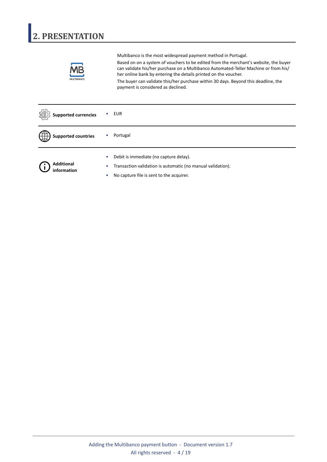# <span id="page-3-0"></span>**2. PRESENTATION**

|  |                                  | Multibanco is the most widespread payment method in Portugal.                                                                                                                                                                                  |
|--|----------------------------------|------------------------------------------------------------------------------------------------------------------------------------------------------------------------------------------------------------------------------------------------|
|  |                                  | Based on on a system of vouchers to be edited from the merchant's website, the buyer<br>can validate his/her purchase on a Multibanco Automated-Teller Machine or from his/<br>her online bank by entering the details printed on the voucher. |
|  |                                  | The buyer can validate this/her purchase within 30 days. Beyond this deadline, the<br>payment is considered as declined.                                                                                                                       |
|  | <b>Supported currencies</b>      | EUR                                                                                                                                                                                                                                            |
|  | <b>Supported countries</b>       | Portugal                                                                                                                                                                                                                                       |
|  |                                  | Debit is immediate (no capture delay).                                                                                                                                                                                                         |
|  | <b>Additional</b><br>information | Transaction validation is automatic (no manual validation).                                                                                                                                                                                    |
|  |                                  | No capture file is sent to the acquirer.                                                                                                                                                                                                       |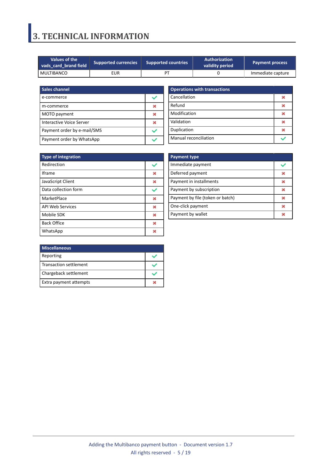## <span id="page-4-0"></span>**3. TECHNICAL INFORMATION**

| Values of the<br><b>Supported currencies</b><br>vads card brand field |     | <b>Supported countries</b> | <b>Authorization</b><br>validity period | <b>Payment process</b> |
|-----------------------------------------------------------------------|-----|----------------------------|-----------------------------------------|------------------------|
| ' MULTIBANCO                                                          | EUR | DТ                         |                                         | Immediate capture      |

| Sales channel               |  |
|-----------------------------|--|
| e-commerce                  |  |
| m-commerce                  |  |
| MOTO payment                |  |
| Interactive Voice Server    |  |
| Payment order by e-mail/SMS |  |
| Payment order by WhatsApp   |  |

| <b>Operations with transactions</b> |  |
|-------------------------------------|--|
| Cancellation                        |  |
| Refund                              |  |
| Modification                        |  |
| Validation                          |  |
| Duplication                         |  |
| <b>Manual reconciliation</b>        |  |

| <b>Type of integration</b> |   |
|----------------------------|---|
| Redirection                |   |
| Iframe                     | × |
| JavaScript Client          | × |
| Data collection form       |   |
| MarketPlace                | × |
| <b>API Web Services</b>    | × |
| Mobile SDK                 | ж |
| <b>Back Office</b>         | × |
| WhatsApp                   |   |

| <b>Payment type</b>              |  |
|----------------------------------|--|
| Immediate payment                |  |
| Deferred payment                 |  |
| Payment in installments          |  |
| Payment by subscription          |  |
| Payment by file (token or batch) |  |
| One-click payment                |  |
| Payment by wallet                |  |

| <b>Miscellaneous</b>     |  |
|--------------------------|--|
| Reporting                |  |
| l Transaction settlement |  |
| Chargeback settlement    |  |
| Extra payment attempts   |  |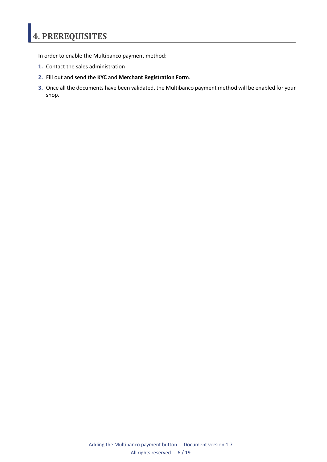# <span id="page-5-0"></span>**4. PREREQUISITES**

In order to enable the Multibanco payment method:

- **1.** Contact the sales administration .
- **2.** Fill out and send the **KYC** and **Merchant Registration Form**.
- **3.** Once all the documents have been validated, the Multibanco payment method will be enabled for your shop.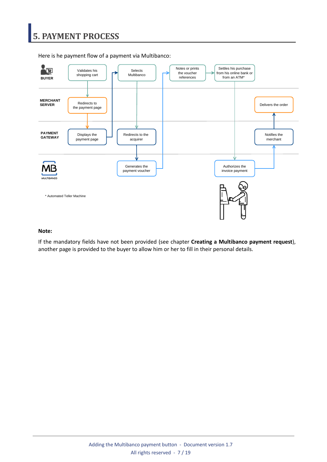## <span id="page-6-0"></span>**5. PAYMENT PROCESS**



Here is he payment flow of a payment via Multibanco:

#### **Note:**

If the mandatory fields have not been provided (see chapter **Creating a Multibanco payment request**), another page is provided to the buyer to allow him or her to fill in their personal details.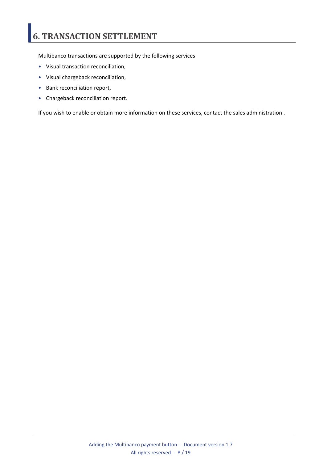# <span id="page-7-0"></span>**6. TRANSACTION SETTLEMENT**

Multibanco transactions are supported by the following services:

- Visual transaction reconciliation,
- Visual chargeback reconciliation,
- Bank reconciliation report,
- Chargeback reconciliation report.

If you wish to enable or obtain more information on these services, contact the sales administration .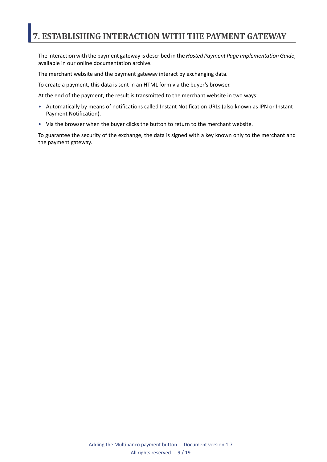## <span id="page-8-0"></span>**7. ESTABLISHING INTERACTION WITH THE PAYMENT GATEWAY**

The interaction with the payment gateway is described in the *Hosted Payment Page Implementation Guide*, available in our online documentation archive.

The merchant website and the payment gateway interact by exchanging data.

To create a payment, this data is sent in an HTML form via the buyer's browser.

At the end of the payment, the result is transmitted to the merchant website in two ways:

- Automatically by means of notifications called Instant Notification URLs (also known as IPN or Instant Payment Notification).
- Via the browser when the buyer clicks the button to return to the merchant website.

To guarantee the security of the exchange, the data is signed with a key known only to the merchant and the payment gateway.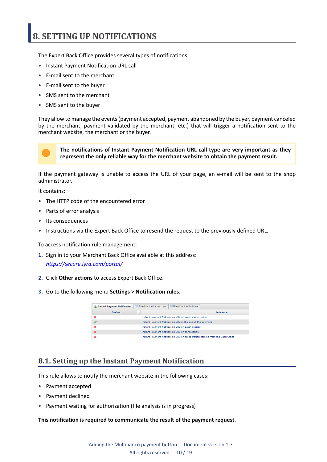## <span id="page-9-0"></span>**8. SETTING UP NOTIFICATIONS**

The Expert Back Office provides several types of notifications.

- Instant Payment Notification URL call
- E-mail sent to the merchant
- E-mail sent to the buyer
- SMS sent to the merchant
- SMS sent to the buyer

They allow to manage the events(payment accepted, payment abandoned by the buyer, payment canceled by the merchant, payment validated by the merchant, etc.) that will trigger a notification sent to the merchant website, the merchant or the buyer.



**The notifications of Instant Payment Notification URL call type are very important as they represent the only reliable way for the merchant website to obtain the payment result.**

If the payment gateway is unable to access the URL of your page, an e-mail will be sent to the shop administrator.

It contains:

- The HTTP code of the encountered error
- Parts of error analysis
- Its consequences
- Instructions via the Expert Back Office to resend the request to the previously defined URL.

To access notification rule management:

- **1.** Sign in to your Merchant Back Office available at this address: *<https://secure.lyra.com/portal/>*
- **2.** Click **Other actions** to access Expert Back Office.
- **3.** Go to the following menu **Settings** > **Notification rules**.

| Instant Payment Notification | E-mail sent to the merchant<br>E-mail sent to the buyer                      |  |  |
|------------------------------|------------------------------------------------------------------------------|--|--|
| Enabled                      | Reference                                                                    |  |  |
|                              | Instant Payment Notification URL on batch authorization                      |  |  |
|                              | Instant Payment Notification URL at the end of the payment                   |  |  |
|                              | Instant Payment Notification URL on batch change                             |  |  |
|                              | <b>Instant Payment Notification URL on cancellation</b>                      |  |  |
|                              | Instant Payment Notification URL on an operation coming from the Back Office |  |  |

### <span id="page-9-1"></span>**8.1. Setting up the Instant Payment Notification**

This rule allows to notify the merchant website in the following cases:

- Payment accepted
- Payment declined
- Payment waiting for authorization (file analysis is in progress)

#### **This notification is required to communicate the result of the payment request.**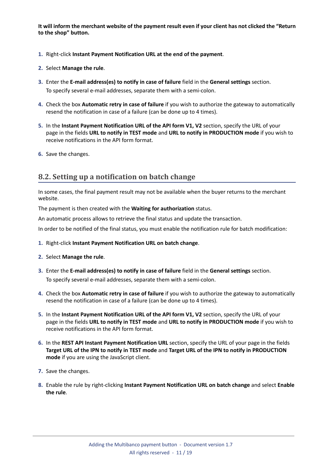It will inform the merchant website of the payment result even if your client has not clicked the "Return **to the shop" button.**

- **1.** Right-click **Instant Payment Notification URL at the end of the payment**.
- **2.** Select **Manage the rule**.
- **3.** Enter the **E-mail address(es) to notify in case of failure** field in the **General settings** section. To specify several e-mail addresses, separate them with a semi-colon.
- **4.** Check the box **Automatic retry in case of failure** if you wish to authorize the gateway to automatically resend the notification in case of a failure (can be done up to 4 times).
- **5.** In the **Instant Payment Notification URL of the API form V1, V2** section, specify the URL of your page in the fields **URL to notify in TEST mode** and **URL to notify in PRODUCTION mode** if you wish to receive notifications in the API form format.
- **6.** Save the changes.

### <span id="page-10-0"></span>**8.2. Setting up a notification on batch change**

In some cases, the final payment result may not be available when the buyer returns to the merchant website.

The payment is then created with the **Waiting for authorization** status.

An automatic process allows to retrieve the final status and update the transaction.

In order to be notified of the final status, you must enable the notification rule for batch modification:

- **1.** Right-click **Instant Payment Notification URL on batch change**.
- **2.** Select **Manage the rule**.
- **3.** Enter the **E-mail address(es) to notify in case of failure** field in the **General settings** section. To specify several e-mail addresses, separate them with a semi-colon.
- **4.** Check the box **Automatic retry in case of failure** if you wish to authorize the gateway to automatically resend the notification in case of a failure (can be done up to 4 times).
- **5.** In the **Instant Payment Notification URL of the API form V1, V2** section, specify the URL of your page in the fields **URL to notify in TEST mode** and **URL to notify in PRODUCTION mode** if you wish to receive notifications in the API form format.
- **6.** In the **REST API Instant Payment Notification URL** section, specify the URL of your page in the fields Target URL of the IPN to notify in TEST mode and Target URL of the IPN to notify in PRODUCTION **mode** if you are using the JavaScript client.
- **7.** Save the changes.
- **8.** Enable the rule by right-clicking **Instant Payment Notification URL on batch change** and select **Enable the rule**.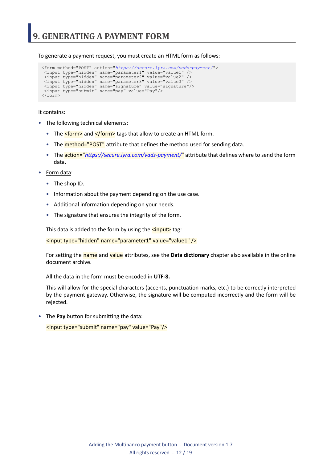<span id="page-11-0"></span>To generate a payment request, you must create an HTML form as follows:

```
<form method="POST" action="https://secure.lyra.com/vads-payment/">
 <input type="hidden" name="parameter1" value="value1" />
 <input type="hidden" name="parameter2" value="value2" />
 <input type="hidden" name="parameter3" value="value3" />
 <input type="hidden" name="signature" value="signature"/>
 <input type="submit" name="pay" value="Pay"/>
\langle/form\rangle
```
It contains:

- The following technical elements:
	- The  $\leq$  form> and  $\leq$ /form> tags that allow to create an HTML form.
	- The **method="POST"** attribute that defines the method used for sending data.
	- The action="*<https://secure.lyra.com/vads-payment/>*" attribute that defines where to send the form data.
- Form data:
	- The shop ID.
	- Information about the payment depending on the use case.
	- Additional information depending on your needs.
	- The signature that ensures the integrity of the form.

This data is added to the form by using the  $\frac{$  <input> tag:

<input type="hidden" name="parameter1" value="value1" />

For setting the name and value attributes, see the **Data dictionary** chapter also available in the online document archive.

All the data in the form must be encoded in **UTF-8.**

This will allow for the special characters (accents, punctuation marks, etc.) to be correctly interpreted by the payment gateway. Otherwise, the signature will be computed incorrectly and the form will be rejected.

• The **Pay** button for submitting the data: <input type="submit" name="pay" value="Pay"/>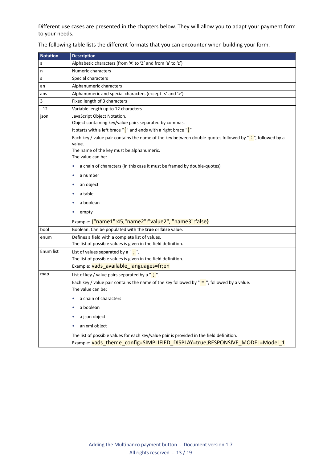Different use cases are presented in the chapters below. They will allow you to adapt your payment form to your needs.

| <b>Notation</b> | <b>Description</b>                                                                                                                                                                                                                                                                       |
|-----------------|------------------------------------------------------------------------------------------------------------------------------------------------------------------------------------------------------------------------------------------------------------------------------------------|
| a               | Alphabetic characters (from 'A' to 'Z' and from 'a' to 'z')                                                                                                                                                                                                                              |
| n               | Numeric characters                                                                                                                                                                                                                                                                       |
| S               | Special characters                                                                                                                                                                                                                                                                       |
| an              | Alphanumeric characters                                                                                                                                                                                                                                                                  |
| ans             | Alphanumeric and special characters (except '<' and '>')                                                                                                                                                                                                                                 |
| 3               | Fixed length of 3 characters                                                                                                                                                                                                                                                             |
| .12             | Variable length up to 12 characters                                                                                                                                                                                                                                                      |
| json            | JavaScript Object Notation.<br>Object containing key/value pairs separated by commas.<br>It starts with a left brace " $\{$ " and ends with a right brace " $\}$ ".<br>Each key / value pair contains the name of the key between double-quotes followed by "i", followed by a<br>value. |
|                 | The name of the key must be alphanumeric.<br>The value can be:                                                                                                                                                                                                                           |
|                 | a chain of characters (in this case it must be framed by double-quotes)<br>٠                                                                                                                                                                                                             |
|                 | a number<br>$\bullet$                                                                                                                                                                                                                                                                    |
|                 | an object<br>٠                                                                                                                                                                                                                                                                           |
|                 | a table<br>۰                                                                                                                                                                                                                                                                             |
|                 | a boolean                                                                                                                                                                                                                                                                                |
|                 | empty<br>٠                                                                                                                                                                                                                                                                               |
|                 | Example: {"name1":45,"name2":"value2", "name3":false}                                                                                                                                                                                                                                    |
| bool            | Boolean. Can be populated with the true or false value.                                                                                                                                                                                                                                  |
| enum            | Defines a field with a complete list of values.<br>The list of possible values is given in the field definition.                                                                                                                                                                         |
| Enum list       | List of values separated by a " $\cdot$ ".<br>The list of possible values is given in the field definition.<br>Example: vads_available_languages=fr;en                                                                                                                                   |
| map             | List of key / value pairs separated by a $"\div"$ .                                                                                                                                                                                                                                      |
|                 | Each key / value pair contains the name of the key followed by " $=$ ", followed by a value.<br>The value can be:                                                                                                                                                                        |
|                 | a chain of characters                                                                                                                                                                                                                                                                    |
|                 | a boolean                                                                                                                                                                                                                                                                                |
|                 | a json object<br>۰                                                                                                                                                                                                                                                                       |
|                 | an xml object<br>۰                                                                                                                                                                                                                                                                       |
|                 | The list of possible values for each key/value pair is provided in the field definition.<br>Example: vads_theme_config=SIMPLIFIED_DISPLAY=true;RESPONSIVE_MODEL=Model_1                                                                                                                  |

The following table lists the different formats that you can encounter when building your form.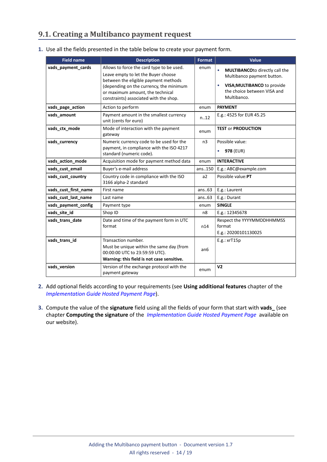### <span id="page-13-0"></span>**9.1. Creating a Multibanco payment request**

| 1. Use all the fields presented in the table below to create your payment form. |  |  |  |
|---------------------------------------------------------------------------------|--|--|--|
|                                                                                 |  |  |  |

| <b>Field name</b>    | <b>Description</b>                                                                                                                                                                                                                                | Format         | Value                                                                                                                                                               |
|----------------------|---------------------------------------------------------------------------------------------------------------------------------------------------------------------------------------------------------------------------------------------------|----------------|---------------------------------------------------------------------------------------------------------------------------------------------------------------------|
| vads payment cards   | Allows to force the card type to be used.<br>Leave empty to let the Buyer choose<br>between the eligible payment methods<br>(depending on the currency, the minimum<br>or maximum amount, the technical<br>constraints) associated with the shop. | enum           | MULTIBANCOto directly call the<br>$\bullet$<br>Multibanco payment button.<br>VISA; MULTIBANCO to provide<br>$\bullet$<br>the choice between VISA and<br>Multibanco. |
| vads_page_action     | Action to perform                                                                                                                                                                                                                                 | enum           | <b>PAYMENT</b>                                                                                                                                                      |
| vads_amount          | Payment amount in the smallest currency<br>unit (cents for euro)                                                                                                                                                                                  | n12            | E.g.: 4525 for EUR 45.25                                                                                                                                            |
| vads_ctx_mode        | Mode of interaction with the payment<br>gateway                                                                                                                                                                                                   | enum           | <b>TEST or PRODUCTION</b>                                                                                                                                           |
| vads currency        | Numeric currency code to be used for the<br>payment, in compliance with the ISO 4217<br>standard (numeric code).                                                                                                                                  | n <sub>3</sub> | Possible value:<br>978 (EUR)                                                                                                                                        |
| vads_action_mode     | Acquisition mode for payment method data                                                                                                                                                                                                          | enum           | <b>INTERACTIVE</b>                                                                                                                                                  |
| vads_cust_email      | Buyer's e-mail address                                                                                                                                                                                                                            | ans150         | E.g.: ABC@example.com                                                                                                                                               |
| vads_cust_country    | Country code in compliance with the ISO<br>3166 alpha-2 standard                                                                                                                                                                                  | a2             | Possible value:PT                                                                                                                                                   |
| vads_cust_first_name | First name                                                                                                                                                                                                                                        | ans63          | E.g.: Laurent                                                                                                                                                       |
| vads_cust_last_name  | Last name                                                                                                                                                                                                                                         | ans.63         | E.g.: Durant                                                                                                                                                        |
| vads_payment_config  | Payment type                                                                                                                                                                                                                                      | enum           | <b>SINGLE</b>                                                                                                                                                       |
| vads_site_id         | Shop ID                                                                                                                                                                                                                                           | n <sub>8</sub> | E.g.: 12345678                                                                                                                                                      |
| vads_trans_date      | Date and time of the payment form in UTC<br>format                                                                                                                                                                                                | n14            | Respect the YYYYMMDDHHMMSS<br>format<br>E.g.: 20200101130025                                                                                                        |
| vads_trans_id        | Transaction number.<br>Must be unique within the same day (from<br>00:00:00 UTC to 23:59:59 UTC).<br>Warning: this field is not case sensitive.                                                                                                   | an6            | E.g.: xrT15p                                                                                                                                                        |
| vads version         | Version of the exchange protocol with the<br>payment gateway                                                                                                                                                                                      | enum           | V <sub>2</sub>                                                                                                                                                      |

- **2.** Add optional fields according to your requirements (see **Using additional features** chapter of the *[Implementation](https://docs.lyra.com/en/collect/form-payment/standard-payment/sitemap.html) Guide Hosted Payment Page*).
- **3.** Compute the value of the **signature** field using all the fields of your form that start with **vads\_** (see chapter **Computing the signature** of the *[Implementation](https://docs.lyra.com/en/collect/form-payment/standard-payment/sitemap.html) Guide Hosted Payment Page* available on our website).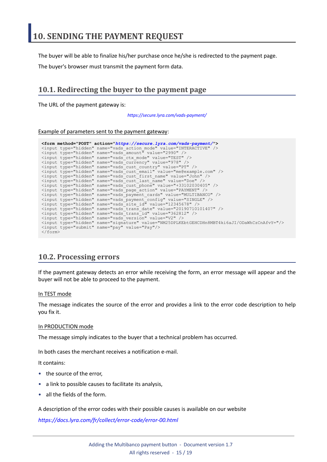<span id="page-14-0"></span>The buyer will be able to finalize his/her purchase once he/she is redirected to the payment page.

The buyer's browser must transmit the payment form data.

### <span id="page-14-1"></span>**10.1. Redirecting the buyer to the payment page**

The URL of the payment gateway is:

*<https://secure.lyra.com/vads-payment/>*

#### Example of parameters sent to the payment gateway:

|                           | <form action="https://secure.lyra.com/vads-payment/" method="POST"></form>                   |
|---------------------------|----------------------------------------------------------------------------------------------|
|                           | <input name="vads action mode" type="hidden" value="INTERACTIVE"/>                           |
|                           | <input name="vads amount" type="hidden" value="2990"/>                                       |
|                           | <input name="vads ctx mode" type="hidden" value="TEST"/>                                     |
|                           | <input name="vads currency" type="hidden" value="978"/>                                      |
|                           | <input name="vads cust country" type="hidden" value="PT"/>                                   |
|                           | <input name="vads cust email" type="hidden" value="me@example.com"/>                         |
|                           | <input name="vads cust first name" type="hidden" value="John"/>                              |
|                           | <input name="vads cust last name" type="hidden" value="Doe"/>                                |
|                           | <input name="vads cust phone" type="hidden" value="+33102030405"/>                           |
|                           | <input name="vads page action" type="hidden" value="PAYMENT"/>                               |
|                           | <input name="vads payment cards" type="hidden" value="MULTIBANCO"/>                          |
|                           | <input name="vads payment config" type="hidden" value="SINGLE"/>                             |
|                           | <input name="vads site id" type="hidden" value="12345678"/>                                  |
|                           | <input name="vads trans date" type="hidden" value="20190710101407"/>                         |
|                           | <input name="vads trans id" type="hidden" value="362812"/>                                   |
|                           | <input name="vads version" type="hidden" value="V2"/>                                        |
|                           | <input name="signature" type="hidden" value="NM25DPLKEbtGEHCDHn8MBT4ki6aJI/ODaWhCzCnAfvY="/> |
|                           | <input name="pay" type="submit" value="Pay"/>                                                |
| $\langle$ /form $\rangle$ |                                                                                              |

### <span id="page-14-2"></span>**10.2. Processing errors**

If the payment gateway detects an error while receiving the form, an error message will appear and the buyer will not be able to proceed to the payment.

#### In TEST mode

The message indicates the source of the error and provides a link to the error code description to help you fix it.

#### In PRODUCTION mode

The message simply indicates to the buyer that a technical problem has occurred.

In both cases the merchant receives a notification e-mail.

It contains:

- the source of the error,
- a link to possible causes to facilitate its analysis,
- all the fields of the form.

A description of the error codes with their possible causes is available on our website

*<https://docs.lyra.com/fr/collect/error-code/error-00.html>*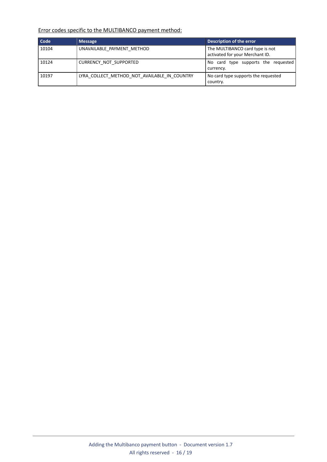### Error codes specific to the MULTIBANCO payment method:

| Code  | <b>Message</b>                               | Description of the error                                           |
|-------|----------------------------------------------|--------------------------------------------------------------------|
| 10104 | UNAVAILABLE PAYMENT METHOD                   | The MULTIBANCO card type is not<br>activated for your Merchant ID. |
| 10124 | CURRENCY NOT SUPPORTED                       | No card type supports the requested<br>currency.                   |
| 10197 | LYRA COLLECT METHOD NOT AVAILABLE IN COUNTRY | No card type supports the requested<br>country.                    |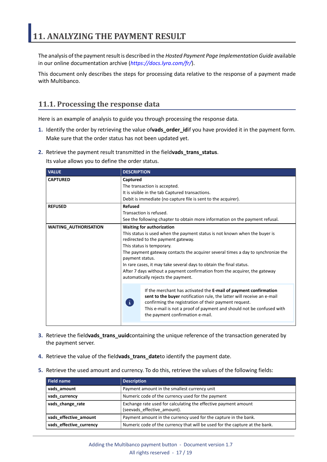<span id="page-16-0"></span>The analysis of the payment result is described in the *Hosted Payment Page Implementation Guide* available in our online documentation archive (*<https://docs.lyra.com/fr/>*).

This document only describes the steps for processing data relative to the response of a payment made with Multibanco.

### <span id="page-16-1"></span>**11.1. Processing the response data**

Here is an example of analysis to guide you through processing the response data.

- **1.** Identify the order by retrieving the value of**vads\_order\_id**if you have provided it in the payment form. Make sure that the order status has not been updated yet.
- **2.** Retrieve the payment result transmitted in the field**vads\_trans\_status**.

Its value allows you to define the order status.

| <b>VALUE</b>                 | <b>DESCRIPTION</b>                                                                                                                                                                                                                                                                                                               |  |
|------------------------------|----------------------------------------------------------------------------------------------------------------------------------------------------------------------------------------------------------------------------------------------------------------------------------------------------------------------------------|--|
| <b>CAPTURED</b>              | Captured                                                                                                                                                                                                                                                                                                                         |  |
|                              | The transaction is accepted.                                                                                                                                                                                                                                                                                                     |  |
|                              | It is visible in the tab Captured transactions.                                                                                                                                                                                                                                                                                  |  |
|                              | Debit is immediate (no capture file is sent to the acquirer).                                                                                                                                                                                                                                                                    |  |
| <b>REFUSED</b>               | <b>Refused</b>                                                                                                                                                                                                                                                                                                                   |  |
|                              | Transaction is refused.                                                                                                                                                                                                                                                                                                          |  |
|                              | See the following chapter to obtain more information on the payment refusal.                                                                                                                                                                                                                                                     |  |
| <b>WAITING AUTHORISATION</b> | <b>Waiting for authorization</b>                                                                                                                                                                                                                                                                                                 |  |
|                              | This status is used when the payment status is not known when the buyer is                                                                                                                                                                                                                                                       |  |
|                              | redirected to the payment gateway.                                                                                                                                                                                                                                                                                               |  |
|                              | This status is temporary.                                                                                                                                                                                                                                                                                                        |  |
|                              | The payment gateway contacts the acquirer several times a day to synchronize the                                                                                                                                                                                                                                                 |  |
|                              | payment status.                                                                                                                                                                                                                                                                                                                  |  |
|                              | In rare cases, it may take several days to obtain the final status.                                                                                                                                                                                                                                                              |  |
|                              | After 7 days without a payment confirmation from the acquirer, the gateway                                                                                                                                                                                                                                                       |  |
|                              | automatically rejects the payment.                                                                                                                                                                                                                                                                                               |  |
|                              | If the merchant has activated the E-mail of payment confirmation<br>sent to the buyer notification rule, the latter will receive an e-mail<br>$\mathbf{I}$<br>confirming the registration of their payment request.<br>This e-mail is not a proof of payment and should not be confused with<br>the payment confirmation e-mail. |  |

- **3.** Retrieve the field**vads\_trans\_uuid**containing the unique reference of the transaction generated by the payment server.
- **4.** Retrieve the value of the field**vads\_trans\_date**to identify the payment date.
- **5.** Retrieve the used amount and currency. To do this, retrieve the values of the following fields:

| Field name              | <b>Description</b>                                                                             |
|-------------------------|------------------------------------------------------------------------------------------------|
| vads amount             | Payment amount in the smallest currency unit                                                   |
| vads currency           | Numeric code of the currency used for the payment                                              |
| vads_change_rate        | Exchange rate used for calculating the effective payment amount<br>(seevads effective amount). |
| vads effective amount   | Payment amount in the currency used for the capture in the bank.                               |
| vads_effective_currency | Numeric code of the currency that will be used for the capture at the bank.                    |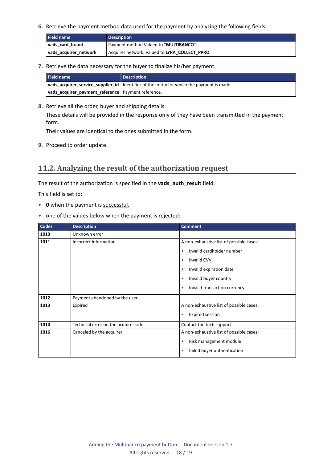**6.** Retrieve the payment method data used for the payment by analyzing the following fields:

| Field name            | <b>Description</b>                             |
|-----------------------|------------------------------------------------|
| vads card brand       | Payment method Valued to "MULTIBANCO".         |
| vads acquirer network | Acquirer network. Valued to LYRA COLLECT PPRO. |

**7.** Retrieve the data necessary for the buyer to finalize his/her payment.

| <b>Field name</b>                                    | <b>Description</b>                                                                          |
|------------------------------------------------------|---------------------------------------------------------------------------------------------|
|                                                      | vads_acquirer_service_supplier_id   Identifier of the entity for which the payment is made. |
| vads_acquirer_payment_reference   Payment reference. |                                                                                             |

**8.** Retrieve all the order, buyer and shipping details.

These details will be provided in the response only of they have been transmitted in the payment form.

Their values are identical to the ones submitted in the form.

**9.** Proceed to order update.

### <span id="page-17-0"></span>**11.2. Analyzing the result of the authorization request**

The result of the authorization is specified in the **vads\_auth\_result** field.

This field is set to:

- **0** when the payment is successful,
- one of the values below when the payment is rejected:

| <b>Codes</b> | <b>Description</b>                   | <b>Comment</b>                            |
|--------------|--------------------------------------|-------------------------------------------|
| 1010         | Unknown error                        |                                           |
| 1011         | Incorrect information                | A non-exhaustive list of possible cases:  |
|              |                                      | Invalid cardholder number<br>۰            |
|              |                                      | Invalid CVV<br>۰                          |
|              |                                      | Invalid expiration date<br>۰              |
|              |                                      | Invalid buyer country<br>۰                |
|              |                                      | Invalid transaction currency<br>$\bullet$ |
| 1012         | Payment abandoned by the user        |                                           |
| 1013         | Expired                              | A non-exhaustive list of possible cases:  |
|              |                                      | Expired session<br>$\bullet$              |
| 1014         | Technical error on the acquirer side | Contact the tech support.                 |
| 1016         | Canceled by the acquirer             | A non-exhaustive list of possible cases:  |
|              |                                      | Risk management module<br>۰               |
|              |                                      | failed buyer authentication               |